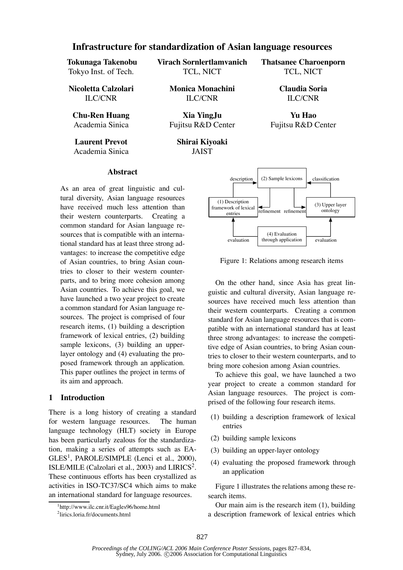# **Infrastructure for standardization of Asian language resources**

| Tokunaga Takenobu<br>Tokyo Inst. of Tech.<br>Nicoletta Calzolari<br><b>ILC/CNR</b> | Virach Sornlertlamvanich<br>TCL, NICT<br><b>Monica Monachini</b><br><b>ILC/CNR</b> | <b>Thatsanee Charoenporn</b><br>TCL, NICT<br><b>Claudia Soria</b><br><b>ILC/CNR</b> |
|------------------------------------------------------------------------------------|------------------------------------------------------------------------------------|-------------------------------------------------------------------------------------|
|                                                                                    |                                                                                    |                                                                                     |
| Academia Sinica                                                                    | Fujitsu R&D Center                                                                 | Fujitsu R&D Center                                                                  |

**Laurent Prevot** Academia Sinica **Shirai Kiyoaki** JAIST

#### **Abstract**

As an area of great linguistic and cultural diversity, Asian language resources have received much less attention than their western counterparts. Creating a common standard for Asian language resources that is compatible with an international standard has at least three strong advantages: to increase the competitive edge of Asian countries, to bring Asian countries to closer to their western counterparts, and to bring more cohesion among Asian countries. To achieve this goal, we have launched a two year project to create a common standard for Asian language resources. The project is comprised of four research items, (1) building a description framework of lexical entries, (2) building sample lexicons, (3) building an upperlayer ontology and (4) evaluating the proposed framework through an application. This paper outlines the project in terms of its aim and approach.

#### **1 Introduction**

There is a long history of creating a standard for western language resources. The human language technology (HLT) society in Europe has been particularly zealous for the standardization, making a series of attempts such as EA-GLES<sup>1</sup>, PAROLE/SIMPLE (Lenci et al., 2000), ISLE/MILE (Calzolari et al., 2003) and LIRICS<sup>2</sup>. These continuous efforts has been crystallized as activities in ISO-TC37/SC4 which aims to make an international standard for language resources.



Figure 1: Relations among research items

On the other hand, since Asia has great linguistic and cultural diversity, Asian language resources have received much less attention than their western counterparts. Creating a common standard for Asian language resources that is compatible with an international standard has at least three strong advantages: to increase the competitive edge of Asian countries, to bring Asian countries to closer to their western counterparts, and to bring more cohesion among Asian countries.

To achieve this goal, we have launched a two year project to create a common standard for Asian language resources. The project is comprised of the following four research items.

- (1) building a description framework of lexical entries
- (2) building sample lexicons
- (3) building an upper-layer ontology
- (4) evaluating the proposed framework through an application

Figure 1 illustrates the relations among these research items.

Our main aim is the research item (1), building a description framework of lexical entries which

<sup>1</sup> http://www.ilc.cnr.it/Eagles96/home.html

<sup>2</sup> lirics.loria.fr/documents.html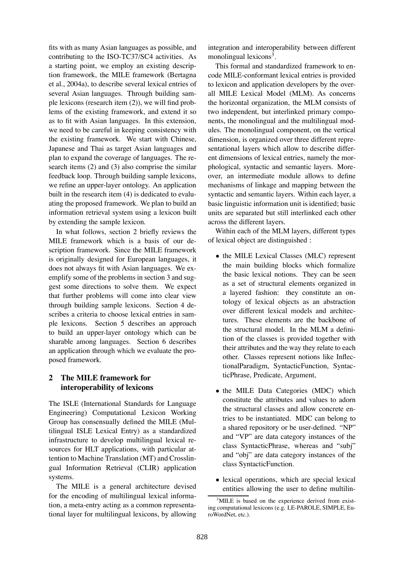fits with as many Asian languages as possible, and contributing to the ISO-TC37/SC4 activities. As a starting point, we employ an existing description framework, the MILE framework (Bertagna et al., 2004a), to describe several lexical entries of several Asian languages. Through building sample lexicons (research item (2)), we will find problems of the existing framework, and extend it so as to fit with Asian languages. In this extension, we need to be careful in keeping consistency with the existing framework. We start with Chinese, Japanese and Thai as target Asian languages and plan to expand the coverage of languages. The research items (2) and (3) also comprise the similar feedback loop. Through building sample lexicons, we refine an upper-layer ontology. An application built in the research item (4) is dedicated to evaluating the proposed framework. We plan to build an information retrieval system using a lexicon built by extending the sample lexicon.

In what follows, section 2 briefly reviews the MILE framework which is a basis of our description framework. Since the MILE framework is originally designed for European languages, it does not always fit with Asian languages. We exemplify some of the problems in section 3 and suggest some directions to solve them. We expect that further problems will come into clear view through building sample lexicons. Section 4 describes a criteria to choose lexical entries in sample lexicons. Section 5 describes an approach to build an upper-layer ontology which can be sharable among languages. Section 6 describes an application through which we evaluate the proposed framework.

# **2 The MILE framework for interoperability of lexicons**

The ISLE (International Standards for Language Engineering) Computational Lexicon Working Group has consensually defined the MILE (Multilingual ISLE Lexical Entry) as a standardized infrastructure to develop multilingual lexical resources for HLT applications, with particular attention to Machine Translation (MT) and Crosslingual Information Retrieval (CLIR) application systems.

The MILE is a general architecture devised for the encoding of multilingual lexical information, a meta-entry acting as a common representational layer for multilingual lexicons, by allowing integration and interoperability between different monolingual lexicons<sup>3</sup>.

This formal and standardized framework to encode MILE-conformant lexical entries is provided to lexicon and application developers by the overall MILE Lexical Model (MLM). As concerns the horizontal organization, the MLM consists of two independent, but interlinked primary components, the monolingual and the multilingual modules. The monolingual component, on the vertical dimension, is organized over three different representational layers which allow to describe different dimensions of lexical entries, namely the morphological, syntactic and semantic layers. Moreover, an intermediate module allows to define mechanisms of linkage and mapping between the syntactic and semantic layers. Within each layer, a basic linguistic information unit is identified; basic units are separated but still interlinked each other across the different layers.

Within each of the MLM layers, different types of lexical object are distinguished :

- *•* the MILE Lexical Classes (MLC) represent the main building blocks which formalize the basic lexical notions. They can be seen as a set of structural elements organized in a layered fashion: they constitute an ontology of lexical objects as an abstraction over different lexical models and architectures. These elements are the backbone of the structural model. In the MLM a definition of the classes is provided together with their attributes and the way they relate to each other. Classes represent notions like InflectionalParadigm, SyntacticFunction, SyntacticPhrase, Predicate, Argument,
- the MILE Data Categories (MDC) which constitute the attributes and values to adorn the structural classes and allow concrete entries to be instantiated. MDC can belong to a shared repository or be user-defined. "NP" and "VP" are data category instances of the class SyntacticPhrase, whereas and "subj" and "obj" are data category instances of the class SyntacticFunction.
- *•* lexical operations, which are special lexical entities allowing the user to define multilin-

<sup>&</sup>lt;sup>3</sup>MILE is based on the experience derived from existing computational lexicons (e.g. LE-PAROLE, SIMPLE, EuroWordNet, etc.).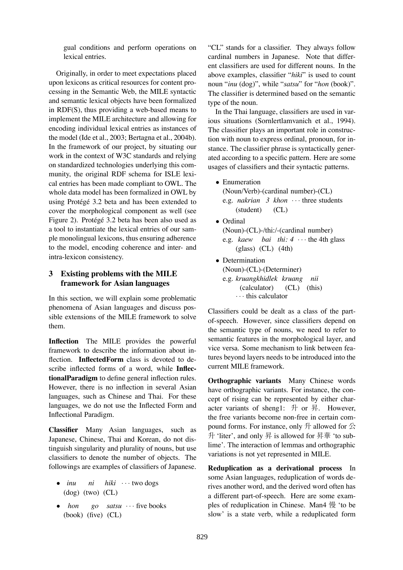gual conditions and perform operations on lexical entries.

Originally, in order to meet expectations placed upon lexicons as critical resources for content processing in the Semantic Web, the MILE syntactic and semantic lexical objects have been formalized in RDF(S), thus providing a web-based means to implement the MILE architecture and allowing for encoding individual lexical entries as instances of the model (Ide et al., 2003; Bertagna et al., 2004b). In the framework of our project, by situating our work in the context of W3C standards and relying on standardized technologies underlying this community, the original RDF schema for ISLE lexical entries has been made compliant to OWL. The whole data model has been formalized in OWL by using Protégé 3.2 beta and has been extended to cover the morphological component as well (see Figure 2). Protégé 3.2 beta has been also used as a tool to instantiate the lexical entries of our sample monolingual lexicons, thus ensuring adherence to the model, encoding coherence and inter- and intra-lexicon consistency.

# **3 Existing problems with the MILE framework for Asian languages**

In this section, we will explain some problematic phenomena of Asian languages and discuss possible extensions of the MILE framework to solve them.

**Inflection** The MILE provides the powerful framework to describe the information about inflection. **InflectedForm** class is devoted to describe inflected forms of a word, while **InflectionalParadigm** to define general inflection rules. However, there is no inflection in several Asian languages, such as Chinese and Thai. For these languages, we do not use the Inflected Form and Inflectional Paradigm.

**Classifier** Many Asian languages, such as Japanese, Chinese, Thai and Korean, do not distinguish singularity and plurality of nouns, but use classifiers to denote the number of objects. The followings are examples of classifiers of Japanese.

- *• inu* (dog) (two) (CL) *ni hiki ···* two dogs
- *• hon* (book) (five) (CL) *go satsu ···* five books

"CL" stands for a classifier. They always follow cardinal numbers in Japanese. Note that different classifiers are used for different nouns. In the above examples, classifier "*hiki*" is used to count noun "*inu* (dog)", while "*satsu*" for "*hon* (book)". The classifier is determined based on the semantic type of the noun.

In the Thai language, classifiers are used in various situations (Sornlertlamvanich et al., 1994). The classifier plays an important role in construction with noun to express ordinal, pronoun, for instance. The classifier phrase is syntactically generated according to a specific pattern. Here are some usages of classifiers and their syntactic patterns.

- *•* Enumeration (Noun/Verb)-(cardinal number)-(CL) e.g. *nakrian 3 khon ···* three students (student) (CL)
- *•* Ordinal (Noun)-(CL)-/thi:/-(cardinal number) e.g. *kaew bai thi: 4 ···* the 4th glass (glass) (CL) (4th)
- *•* Determination (Noun)-(CL)-(Determiner) e.g. *kruangkhidlek kruang nii* (calculator) (CL) (this) *···* this calculator

Classifiers could be dealt as a class of the partof-speech. However, since classifiers depend on the semantic type of nouns, we need to refer to semantic features in the morphological layer, and vice versa. Some mechanism to link between features beyond layers needs to be introduced into the current MILE framework.

**Orthographic variants** Many Chinese words have orthographic variants. For instance, the concept of rising can be represented by either character variants of sheng1: 升 or 昇. However, the free variants become non-free in certain compound forms. For instance, only  $H$  allowed for  $\triangle$ 升 'liter', and only 昇 is allowed for 昇華 'to sublime'. The interaction of lemmas and orthographic variations is not yet represented in MILE.

**Reduplication as a derivational process** In some Asian languages, reduplication of words derives another word, and the derived word often has a different part-of-speech. Here are some examples of reduplication in Chinese. Man4 慢 'to be slow' is a state verb, while a reduplicated form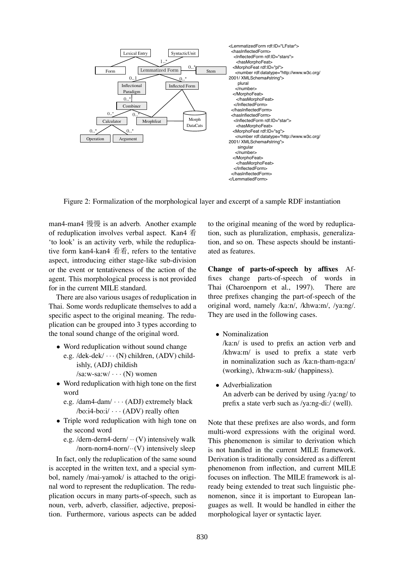

Figure 2: Formalization of the morphological layer and excerpt of a sample RDF instantiation

man4-man4 慢慢 is an adverb. Another example of reduplication involves verbal aspect. Kan4 看 'to look' is an activity verb, while the reduplicative form kan4-kan4 看看, refers to the tentative aspect, introducing either stage-like sub-division or the event or tentativeness of the action of the agent. This morphological process is not provided for in the current MILE standard.

There are also various usages of reduplication in Thai. Some words reduplicate themselves to add a specific aspect to the original meaning. The reduplication can be grouped into 3 types according to the tonal sound change of the original word.

- Word reduplication without sound change
	- e.g. /dek-dek/ *···* (N) children, (ADV) childishly, (ADJ) childish /sa:w-sa:w/ *···* (N) women
- Word reduplication with high tone on the first word
	- e.g. /dam4-dam/ *···* (ADJ) extremely black /bo:i4-bo:i/ *···* (ADV) really often
- *•* Triple word reduplication with high tone on the second word
	- e.g. /dern-dern4-dern/ *··* (V) intensively walk /norn-norn4-norn/*··*(V) intensively sleep

In fact, only the reduplication of the same sound is accepted in the written text, and a special symbol, namely /mai-yamok/ is attached to the original word to represent the reduplication. The reduplication occurs in many parts-of-speech, such as noun, verb, adverb, classifier, adjective, preposition. Furthermore, various aspects can be added

to the original meaning of the word by reduplication, such as pluralization, emphasis, generalization, and so on. These aspects should be instantiated as features.

**Change of parts-of-speech by affixes** Affixes change parts-of-speech of words in Thai (Charoenporn et al., 1997). There are three prefixes changing the part-of-speech of the original word, namely /ka:n/, /khwa:m/, /ya:ng/. They are used in the following cases.

*•* Nominalization

/ka:n/ is used to prefix an action verb and /khwa:m/ is used to prefix a state verb in nominalization such as /ka:n-tham-nga:n/ (working), /khwa:m-suk/ (happiness).

*•* Adverbialization An adverb can be derived by using /ya:ng/ to

prefix a state verb such as /ya:ng-di:/ (well).

Note that these prefixes are also words, and form multi-word expressions with the original word. This phenomenon is similar to derivation which is not handled in the current MILE framework. Derivation is traditionally considered as a different phenomenon from inflection, and current MILE focuses on inflection. The MILE framework is already being extended to treat such linguistic phenomenon, since it is important to European languages as well. It would be handled in either the morphological layer or syntactic layer.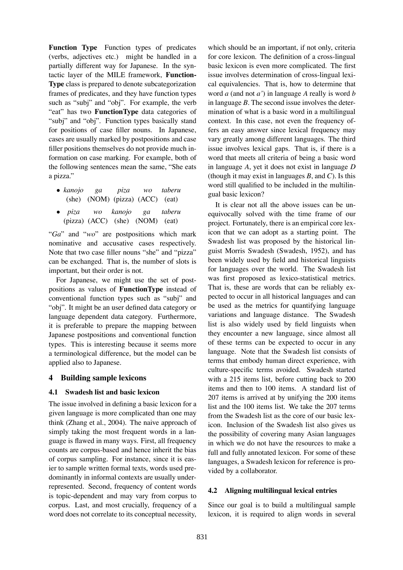**Function Type** Function types of predicates (verbs, adjectives etc.) might be handled in a partially different way for Japanese. In the syntactic layer of the MILE framework, **Function-Type** class is prepared to denote subcategorization frames of predicates, and they have function types such as "subj" and "obj". For example, the verb "eat" has two **FunctionType** data categories of "subj" and "obj". Function types basically stand for positions of case filler nouns. In Japanese, cases are usually marked by postpositions and case filler positions themselves do not provide much information on case marking. For example, both of the following sentences mean the same, "She eats a pizza."

- *• kanojo* (she) *ga* (NOM) (pizza) (ACC) *piza wo taberu* (eat)
- *• piza* (pizza) (ACC) (she) (NOM) *wo kanojo ga taberu* (eat)

"*Ga*" and "*wo*" are postpositions which mark nominative and accusative cases respectively. Note that two case filler nouns "she" and "pizza" can be exchanged. That is, the number of slots is important, but their order is not.

For Japanese, we might use the set of postpositions as values of **FunctionType** instead of conventional function types such as "subj" and "obj". It might be an user defined data category or language dependent data category. Furthermore, it is preferable to prepare the mapping between Japanese postpositions and conventional function types. This is interesting because it seems more a terminological difference, but the model can be applied also to Japanese.

## **4 Building sample lexicons**

## **4.1 Swadesh list and basic lexicon**

The issue involved in defining a basic lexicon for a given language is more complicated than one may think (Zhang et al., 2004). The naive approach of simply taking the most frequent words in a language is flawed in many ways. First, all frequency counts are corpus-based and hence inherit the bias of corpus sampling. For instance, since it is easier to sample written formal texts, words used predominantly in informal contexts are usually underrepresented. Second, frequency of content words is topic-dependent and may vary from corpus to corpus. Last, and most crucially, frequency of a word does not correlate to its conceptual necessity,

which should be an important, if not only, criteria for core lexicon. The definition of a cross-lingual basic lexicon is even more complicated. The first issue involves determination of cross-lingual lexical equivalencies. That is, how to determine that word *a* (and not *a'*) in language *A* really is word *b* in language *B*. The second issue involves the determination of what is a basic word in a multilingual context. In this case, not even the frequency offers an easy answer since lexical frequency may vary greatly among different languages. The third issue involves lexical gaps. That is, if there is a word that meets all criteria of being a basic word in language *A*, yet it does not exist in language *D* (though it may exist in languages *B*, and *C*). Is this word still qualified to be included in the multilingual basic lexicon?

It is clear not all the above issues can be unequivocally solved with the time frame of our project. Fortunately, there is an empirical core lexicon that we can adopt as a starting point. The Swadesh list was proposed by the historical linguist Morris Swadesh (Swadesh, 1952), and has been widely used by field and historical linguists for languages over the world. The Swadesh list was first proposed as lexico-statistical metrics. That is, these are words that can be reliably expected to occur in all historical languages and can be used as the metrics for quantifying language variations and language distance. The Swadesh list is also widely used by field linguists when they encounter a new language, since almost all of these terms can be expected to occur in any language. Note that the Swadesh list consists of terms that embody human direct experience, with culture-specific terms avoided. Swadesh started with a 215 items list, before cutting back to 200 items and then to 100 items. A standard list of 207 items is arrived at by unifying the 200 items list and the 100 items list. We take the 207 terms from the Swadesh list as the core of our basic lexicon. Inclusion of the Swadesh list also gives us the possibility of covering many Asian languages in which we do not have the resources to make a full and fully annotated lexicon. For some of these languages, a Swadesh lexicon for reference is provided by a collaborator.

## **4.2 Aligning multilingual lexical entries**

Since our goal is to build a multilingual sample lexicon, it is required to align words in several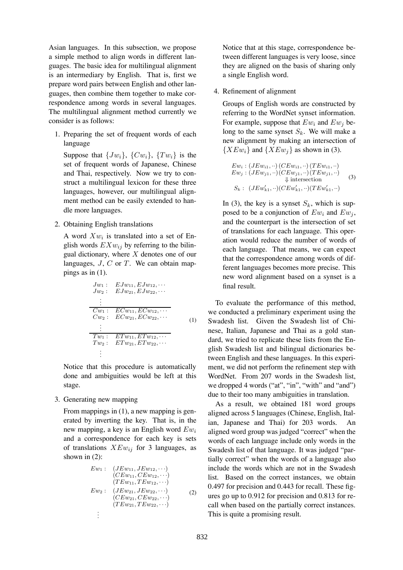Asian languages. In this subsection, we propose a simple method to align words in different languages. The basic idea for multilingual alignment is an intermediary by English. That is, first we prepare word pairs between English and other languages, then combine them together to make correspondence among words in several languages. The multilingual alignment method currently we consider is as follows:

1. Preparing the set of frequent words of each language

Suppose that  $\{Jw_i\}$ ,  $\{Cw_i\}$ ,  $\{Tw_i\}$  is the set of frequent words of Japanese, Chinese and Thai, respectively. Now we try to construct a multilingual lexicon for these three languages, however, our multilingual alignment method can be easily extended to handle more languages.

2. Obtaining English translations

A word  $Xw_i$  is translated into a set of English words  $EXw_{ij}$  by referring to the bilingual dictionary, where *X* denotes one of our languages, *J*, *C* or *T*. We can obtain mappings as in (1).

$$
Jw_1: EJw_{11}, EJw_{12}, \cdots
$$
  
\n
$$
Jw_2: EJw_{21}, EJw_{22}, \cdots
$$
  
\n
$$
\vdots
$$
  
\n
$$
Cw_1: ECw_{11}, ECw_{12}, \cdots
$$
  
\n
$$
Cw_2: ECw_{21}, ECw_{22}, \cdots
$$
  
\n
$$
\vdots
$$
  
\n
$$
Tw_1: ETw_{11}, ETw_{12}, \cdots
$$
  
\n
$$
Tw_2: ETw_{21}, ETw_{22}, \cdots
$$
  
\n
$$
\vdots
$$

Notice that this procedure is automatically done and ambiguities would be left at this stage.

3. Generating new mapping

From mappings in (1), a new mapping is generated by inverting the key. That is, in the new mapping, a key is an English word *Ew<sup>i</sup>* and a correspondence for each key is sets of translations *XEwij* for 3 languages, as shown in (2):

$$
Ew_1: (JEw_{11}, JEw_{12}, \cdots) \n(CEw_{11}, CEw_{12}, \cdots) \n(TEw_{11}, TEw_{12}, \cdots) \nEw_2: (JEw_{21}, JEw_{22}, \cdots) \n(CEw_{21}, CEw_{22}, \cdots) \n(TEw_{21}, TEw_{22}, \cdots)
$$
\n
$$
\vdots
$$

Notice that at this stage, correspondence between different languages is very loose, since they are aligned on the basis of sharing only a single English word.

#### 4. Refinement of alignment

Groups of English words are constructed by referring to the WordNet synset information. For example, suppose that  $Ew_i$  and  $Ew_j$  belong to the same synset  $S_k$ . We will make a new alignment by making an intersection of  ${XEw_i}$  and  ${XEw_i}$  as shown in (3).

$$
Ew_i : (JEw_{i1}, \cdots) (CEw_{i1}, \cdots) (TEw_{i1}, \cdots) \nEw_j : (JEw_{j1}, \cdots) (CEw_{j1}, \cdots) (TEw_{j1}, \cdots) \n\Downarrow \text{intersection} \nS_k : (JEw_{k1}', \cdots) (CEw_{k1}', \cdots) (TEw_{k1}', \cdots)
$$
\n(3)

In (3), the key is a synset  $S_k$ , which is supposed to be a conjunction of  $Ew_i$  and  $Ew_j$ , and the counterpart is the intersection of set of translations for each language. This operation would reduce the number of words of each language. That means, we can expect that the correspondence among words of different languages becomes more precise. This new word alignment based on a synset is a final result.

To evaluate the performance of this method, we conducted a preliminary experiment using the Swadesh list. Given the Swadesh list of Chinese, Italian, Japanese and Thai as a gold standard, we tried to replicate these lists from the English Swadesh list and bilingual dictionaries between English and these languages. In this experiment, we did not perform the refinement step with WordNet. From 207 words in the Swadesh list, we dropped 4 words ("at", "in", "with" and "and") due to their too many ambiguities in translation.

As a result, we obtained 181 word groups aligned across 5 languages (Chinese, English, Italian, Japanese and Thai) for 203 words. An aligned word group was judged "correct" when the words of each language include only words in the Swadesh list of that language. It was judged "partially correct" when the words of a language also include the words which are not in the Swadesh list. Based on the correct instances, we obtain 0.497 for precision and 0.443 for recall. These figures go up to 0.912 for precision and 0.813 for recall when based on the partially correct instances. This is quite a promising result.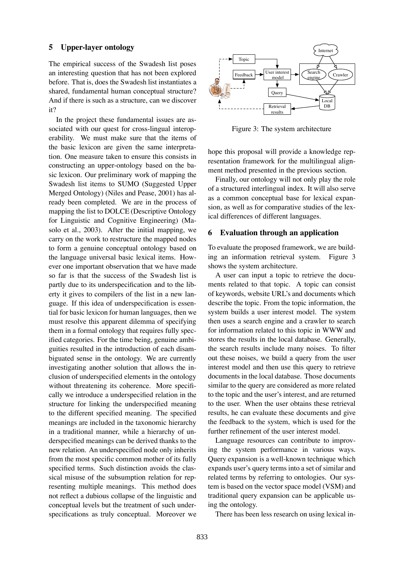#### **5 Upper-layer ontology**

The empirical success of the Swadesh list poses an interesting question that has not been explored before. That is, does the Swadesh list instantiates a shared, fundamental human conceptual structure? And if there is such as a structure, can we discover it?

In the project these fundamental issues are associated with our quest for cross-lingual interoperability. We must make sure that the items of the basic lexicon are given the same interpretation. One measure taken to ensure this consists in constructing an upper-ontology based on the basic lexicon. Our preliminary work of mapping the Swadesh list items to SUMO (Suggested Upper Merged Ontology) (Niles and Pease, 2001) has already been completed. We are in the process of mapping the list to DOLCE (Descriptive Ontology for Linguistic and Cognitive Engineering) (Masolo et al., 2003). After the initial mapping, we carry on the work to restructure the mapped nodes to form a genuine conceptual ontology based on the language universal basic lexical items. However one important observation that we have made so far is that the success of the Swadesh list is partly due to its underspecification and to the liberty it gives to compilers of the list in a new language. If this idea of underspecification is essential for basic lexicon for human languages, then we must resolve this apparent dilemma of specifying them in a formal ontology that requires fully specified categories. For the time being, genuine ambiguities resulted in the introduction of each disambiguated sense in the ontology. We are currently investigating another solution that allows the inclusion of underspecified elements in the ontology without threatening its coherence. More specifically we introduce a underspecified relation in the structure for linking the underspecified meaning to the different specified meaning. The specified meanings are included in the taxonomic hierarchy in a traditional manner, while a hierarchy of underspecified meanings can be derived thanks to the new relation. An underspecified node only inherits from the most specific common mother of its fully specified terms. Such distinction avoids the classical misuse of the subsumption relation for representing multiple meanings. This method does not reflect a dubious collapse of the linguistic and conceptual levels but the treatment of such underspecifications as truly conceptual. Moreover we



Figure 3: The system architecture

hope this proposal will provide a knowledge representation framework for the multilingual alignment method presented in the previous section.

Finally, our ontology will not only play the role of a structured interlingual index. It will also serve as a common conceptual base for lexical expansion, as well as for comparative studies of the lexical differences of different languages.

#### **6 Evaluation through an application**

To evaluate the proposed framework, we are building an information retrieval system. Figure 3 shows the system architecture.

A user can input a topic to retrieve the documents related to that topic. A topic can consist of keywords, website URL's and documents which describe the topic. From the topic information, the system builds a user interest model. The system then uses a search engine and a crawler to search for information related to this topic in WWW and stores the results in the local database. Generally, the search results include many noises. To filter out these noises, we build a query from the user interest model and then use this query to retrieve documents in the local database. Those documents similar to the query are considered as more related to the topic and the user's interest, and are returned to the user. When the user obtains these retrieval results, he can evaluate these documents and give the feedback to the system, which is used for the further refinement of the user interest model.

Language resources can contribute to improving the system performance in various ways. Query expansion is a well-known technique which expands user's query terms into a set of similar and related terms by referring to ontologies. Our system is based on the vector space model (VSM) and traditional query expansion can be applicable using the ontology.

There has been less research on using lexical in-